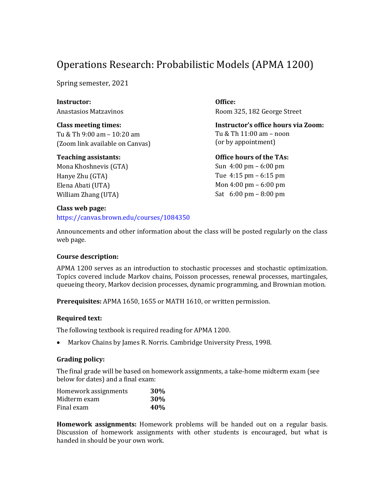# Operations Research: Probabilistic Models (APMA 1200)

Spring semester, 2021

**Instructor:** Anastasios Matzavinos

**Class meeting times:** Tu & Th 9:00 am – 10:20 am (Zoom link available on Canvas)

#### **Teaching assistants:**

Mona Khoshnevis (GTA) Hanye Zhu (GTA) Elena Abati (UTA) William Zhang (UTA)

**Class web page:**

https://canvas.brown.edu/courses/1084350

**Office:** Room 325, 182 George Street

**Instructor's office hours via Zoom:** Tu  $&$  Th  $11:00$  am – noon (or by appointment)

**Office hours of the TAs:**

Sun  $4:00 \text{ pm} - 6:00 \text{ pm}$ Tue  $4:15$  pm  $-6:15$  pm Mon  $4:00 \text{ pm} - 6:00 \text{ pm}$ Sat  $6:00 \text{ pm} - 8:00 \text{ pm}$ 

Announcements and other information about the class will be posted regularly on the class web page.

## **Course description:**

APMA 1200 serves as an introduction to stochastic processes and stochastic optimization. Topics covered include Markov chains, Poisson processes, renewal processes, martingales, queueing theory, Markov decision processes, dynamic programming, and Brownian motion.

**Prerequisites:** APMA 1650, 1655 or MATH 1610, or written permission.

## **Required text:**

The following textbook is required reading for APMA 1200.

Markov Chains by James R. Norris. Cambridge University Press, 1998.

## **Grading policy:**

The final grade will be based on homework assignments, a take-home midterm exam (see below for dates) and a final exam:

| Homework assignments | 30%        |
|----------------------|------------|
| Midterm exam         | <b>30%</b> |
| Final exam           | 40%        |

Homework assignments: Homework problems will be handed out on a regular basis. Discussion of homework assignments with other students is encouraged, but what is handed in should be your own work.